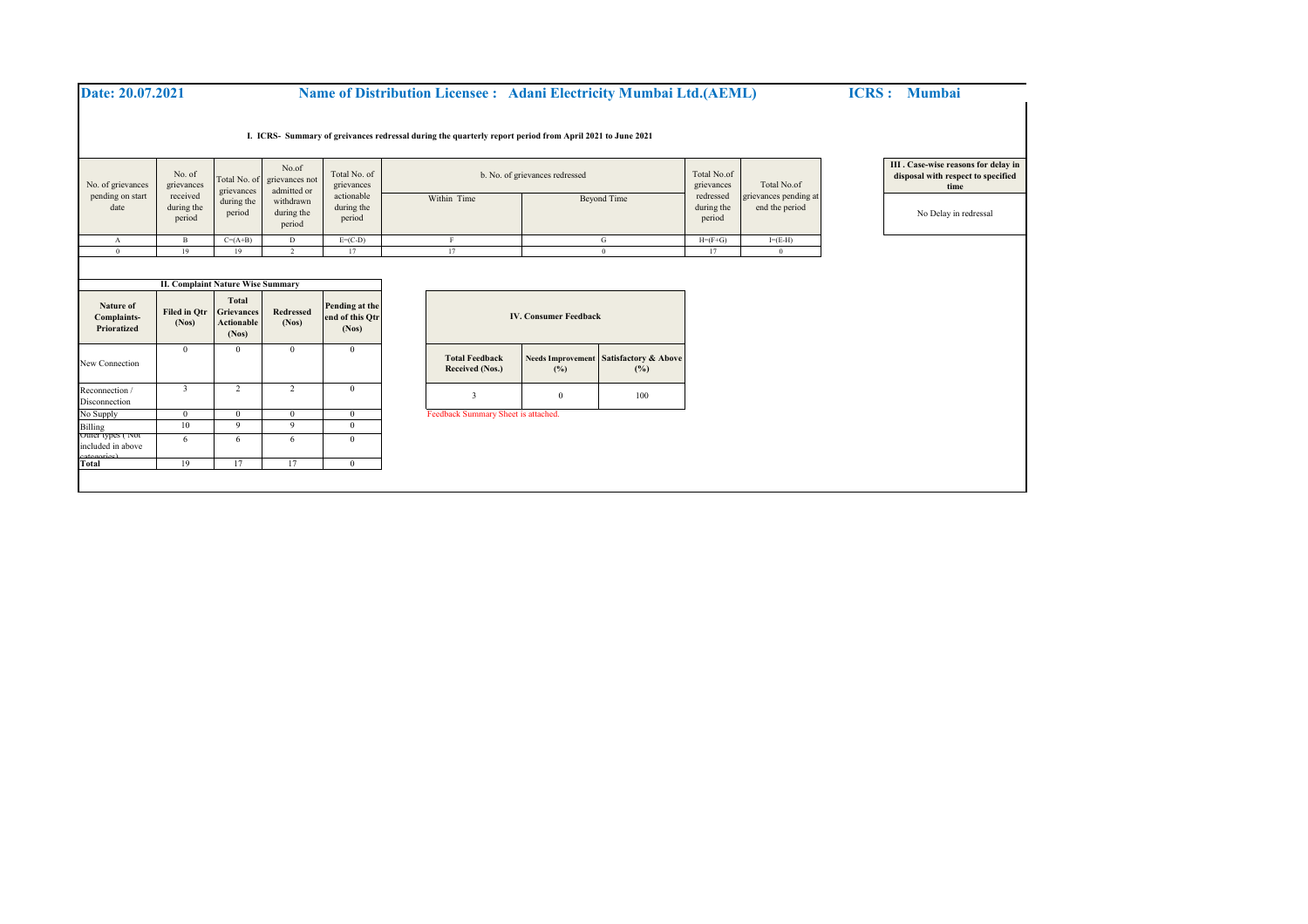| Date: 20.07.2021                        |                                                                                          |                                                        |                                                                             |                                                                  | <b>Name of Distribution Licensee : Adani Electricity Mumbai Ltd. (AEML)</b>                              |                                 |                                        |                                                                 |             | <b>ICRS</b> : Mumbai                                                               |
|-----------------------------------------|------------------------------------------------------------------------------------------|--------------------------------------------------------|-----------------------------------------------------------------------------|------------------------------------------------------------------|----------------------------------------------------------------------------------------------------------|---------------------------------|----------------------------------------|-----------------------------------------------------------------|-------------|------------------------------------------------------------------------------------|
|                                         |                                                                                          |                                                        |                                                                             |                                                                  | I. ICRS- Summary of greivances redressal during the quarterly report period from April 2021 to June 2021 |                                 |                                        |                                                                 |             |                                                                                    |
| No. of grievances                       | No. of<br>grievances<br>received<br>during the<br>period                                 | Total No. of<br>grievances<br>during the<br>period     | No.of<br>grievances not<br>admitted or<br>withdrawn<br>during the<br>period | Total No. of<br>grievances<br>actionable<br>during the<br>period | b. No. of grievances redressed                                                                           |                                 |                                        | Total No.of<br>grievances<br>redressed                          | Total No.of | III . Case-wise reasons for delay in<br>disposal with respect to specified<br>time |
| pending on start<br>date                |                                                                                          |                                                        |                                                                             |                                                                  | Within Time                                                                                              |                                 | <b>Beyond Time</b>                     | grievances pending at<br>during the<br>end the period<br>period |             | No Delay in redressal                                                              |
| А                                       | $\, {\bf B}$                                                                             | $C=(A+B)$                                              | D                                                                           | $E=(C-D)$                                                        | $\rm F$                                                                                                  |                                 | ${\bf G}$                              | $H=(F+G)$                                                       | $I=(E-H)$   |                                                                                    |
| $\theta$                                | 19                                                                                       | 19                                                     | $\gamma$                                                                    | 17                                                               | 17                                                                                                       | $\theta$                        |                                        | 17                                                              | $\theta$    |                                                                                    |
| Nature of<br>Complaints-<br>Prioratized | <b>II. Complaint Nature Wise Summary</b><br><b>Filed in Otr</b><br>(Nos)<br>$\mathbf{0}$ | Total<br>Grievances<br>Actionable<br>(Nos)<br>$\Omega$ | Redressed<br>(Nos)<br>$\Omega$                                              | Pending at the<br>end of this Qtr<br>(Nos)<br>$\mathbf{0}$       |                                                                                                          | <b>IV. Consumer Feedback</b>    |                                        |                                                                 |             |                                                                                    |
| New Connection                          |                                                                                          |                                                        |                                                                             |                                                                  | <b>Total Feedback</b><br>Received (Nos.)                                                                 | <b>Needs Improvement</b><br>(%) | <b>Satisfactory &amp; Above</b><br>(%) |                                                                 |             |                                                                                    |
| Reconnection /<br>Disconnection         | $\overline{3}$                                                                           | 2                                                      | 2                                                                           | $\mathbf{0}$                                                     | $\overline{\mathbf{3}}$                                                                                  | $\bf{0}$                        | 100                                    |                                                                 |             |                                                                                    |
| No Supply                               | $\theta$                                                                                 | $\Omega$                                               | 0                                                                           | $\mathbf{0}$                                                     | Feedback Summary Sheet is attached.                                                                      |                                 |                                        |                                                                 |             |                                                                                    |
| Billing<br>Other types ( INOT           | 10                                                                                       | $\mathbf{Q}$                                           | 9                                                                           | $\mathbf{0}$                                                     |                                                                                                          |                                 |                                        |                                                                 |             |                                                                                    |
| included in above                       | 6                                                                                        | -6                                                     | 6                                                                           | $\Omega$                                                         |                                                                                                          |                                 |                                        |                                                                 |             |                                                                                    |
| catego<br>Total                         | 19                                                                                       | 17                                                     | 17                                                                          | $\mathbf{0}$                                                     |                                                                                                          |                                 |                                        |                                                                 |             |                                                                                    |
|                                         |                                                                                          |                                                        |                                                                             |                                                                  |                                                                                                          |                                 |                                        |                                                                 |             |                                                                                    |